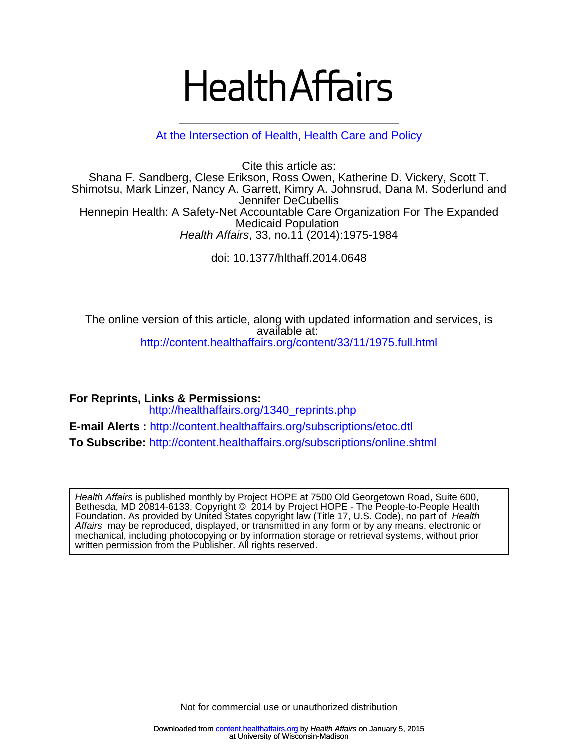# **Health Affairs**

# [At the Intersection of Health, Health Care and Policy](http://www.healthaffairs.org)

Health Affairs, 33, no.11 (2014):1975-1984 Medicaid Population Hennepin Health: A Safety-Net Accountable Care Organization For The Expanded Jennifer DeCubellis Shimotsu, Mark Linzer, Nancy A. Garrett, Kimry A. Johnsrud, Dana M. Soderlund and Shana F. Sandberg, Clese Erikson, Ross Owen, Katherine D. Vickery, Scott T. Cite this article as:

doi: 10.1377/hlthaff.2014.0648

<http://content.healthaffairs.org/content/33/11/1975.full.html> available at: The online version of this article, along with updated information and services, is

**For Reprints, Links & Permissions:**  [http://healthaffairs.org/1340\\_reprints.php](http://healthaffairs.org/1340_reprints.php) **E-mail Alerts :** <http://content.healthaffairs.org/subscriptions/etoc.dtl> **To Subscribe:** <http://content.healthaffairs.org/subscriptions/online.shtml>

written permission from the Publisher. All rights reserved. mechanical, including photocopying or by information storage or retrieval systems, without prior Affairs may be reproduced, displayed, or transmitted in any form or by any means, electronic or Foundation. As provided by United States copyright law (Title 17, U.S. Code), no part of Health Bethesda, MD 20814-6133. Copyright © 2014 by Project HOPE - The People-to-People Health Health Affairs is published monthly by Project HOPE at 7500 Old Georgetown Road, Suite 600,

Not for commercial use or unauthorized distribution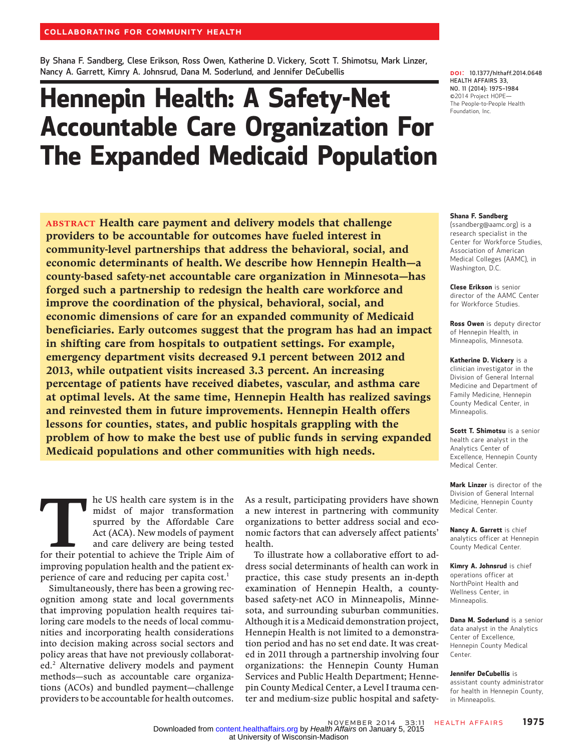By Shana F. Sandberg, Clese Erikson, Ross Owen, Katherine D. Vickery, Scott T. Shimotsu, Mark Linzer, Nancy A. Garrett, Kimry A. Johnsrud, Dana M. Soderlund, and Jennifer DeCubellis

# Hennepin Health: A Safety-Net Accountable Care Organization For The Expanded Medicaid Population

ABSTRACT Health care payment and delivery models that challenge providers to be accountable for outcomes have fueled interest in community-level partnerships that address the behavioral, social, and economic determinants of health. We describe how Hennepin Health—a county-based safety-net accountable care organization in Minnesota—has forged such a partnership to redesign the health care workforce and improve the coordination of the physical, behavioral, social, and economic dimensions of care for an expanded community of Medicaid beneficiaries. Early outcomes suggest that the program has had an impact in shifting care from hospitals to outpatient settings. For example, emergency department visits decreased 9.1 percent between 2012 and 2013, while outpatient visits increased 3.3 percent. An increasing percentage of patients have received diabetes, vascular, and asthma care at optimal levels. At the same time, Hennepin Health has realized savings and reinvested them in future improvements. Hennepin Health offers lessons for counties, states, and public hospitals grappling with the problem of how to make the best use of public funds in serving expanded Medicaid populations and other communities with high needs.

The US health care system is in the midst of major transformation spurred by the Affordable Care Act (ACA). New models of payment and care delivery are being tested for their potential to achieve the Triple Aim of midst of major transformation spurred by the Affordable Care Act (ACA). New models of payment and care delivery are being tested improving population health and the patient experience of care and reducing per capita cost.<sup>1</sup>

Simultaneously, there has been a growing recognition among state and local governments that improving population health requires tailoring care models to the needs of local communities and incorporating health considerations into decision making across social sectors and policy areas that have not previously collaborated.<sup>2</sup> Alternative delivery models and payment methods—such as accountable care organizations (ACOs) and bundled payment—challenge providers to be accountable for health outcomes.

As a result, participating providers have shown a new interest in partnering with community organizations to better address social and economic factors that can adversely affect patients' health.

To illustrate how a collaborative effort to address social determinants of health can work in practice, this case study presents an in-depth examination of Hennepin Health, a countybased safety-net ACO in Minneapolis, Minnesota, and surrounding suburban communities. Although it is a Medicaid demonstration project, Hennepin Health is not limited to a demonstration period and has no set end date. It was created in 2011 through a partnership involving four organizations: the Hennepin County Human Services and Public Health Department; Hennepin County Medical Center, a Level I trauma center and medium-size public hospital and safetyDOI: 10.1377/hlthaff.2014.0648 HEALTH AFFAIRS 33, NO. 11 (2014): 1975–<sup>1984</sup> ©2014 Project HOPE— The People-to-People Health Foundation, Inc.

#### Shana F. Sandberg

(ssandberg@aamc.org) is a research specialist in the Center for Workforce Studies, Association of American Medical Colleges (AAMC), in Washington, D.C.

Clese Erikson is senior director of the AAMC Center for Workforce Studies.

Ross Owen is deputy director of Hennepin Health, in Minneapolis, Minnesota.

#### Katherine D. Vickery is a

clinician investigator in the Division of General Internal Medicine and Department of Family Medicine, Hennepin County Medical Center, in Minneapolis.

Scott T. Shimotsu is a senior health care analyst in the Analytics Center of Excellence, Hennepin County Medical Center.

Mark Linzer is director of the Division of General Internal Medicine, Hennepin County Medical Center.

Nancy A. Garrett is chief analytics officer at Hennepin County Medical Center.

Kimry A. Johnsrud is chief operations officer at NorthPoint Health and Wellness Center, in Minneapolis.

Dana M. Soderlund is a senior data analyst in the Analytics Center of Excellence, Hennepin County Medical Center.

Jennifer DeCubellis is assistant county administrator for health in Hennepin County, in Minneapolis.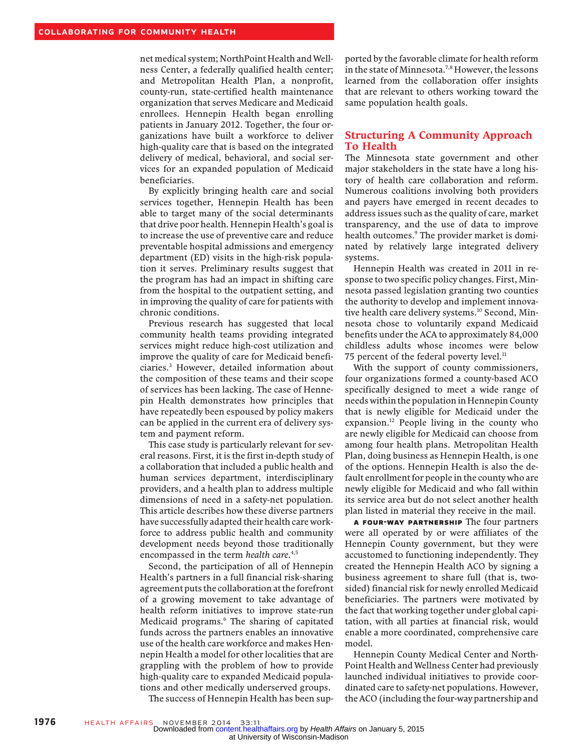net medical system; NorthPoint Health and Wellness Center, a federally qualified health center; and Metropolitan Health Plan, a nonprofit, county-run, state-certified health maintenance organization that serves Medicare and Medicaid enrollees. Hennepin Health began enrolling patients in January 2012. Together, the four organizations have built a workforce to deliver high-quality care that is based on the integrated delivery of medical, behavioral, and social services for an expanded population of Medicaid beneficiaries.

By explicitly bringing health care and social services together, Hennepin Health has been able to target many of the social determinants that drive poor health. Hennepin Health's goal is to increase the use of preventive care and reduce preventable hospital admissions and emergency department (ED) visits in the high-risk population it serves. Preliminary results suggest that the program has had an impact in shifting care from the hospital to the outpatient setting, and in improving the quality of care for patients with chronic conditions.

Previous research has suggested that local community health teams providing integrated services might reduce high-cost utilization and improve the quality of care for Medicaid beneficiaries.3 However, detailed information about the composition of these teams and their scope of services has been lacking. The case of Hennepin Health demonstrates how principles that have repeatedly been espoused by policy makers can be applied in the current era of delivery system and payment reform.

This case study is particularly relevant for several reasons. First, it is the first in-depth study of a collaboration that included a public health and human services department, interdisciplinary providers, and a health plan to address multiple dimensions of need in a safety-net population. This article describes how these diverse partners have successfully adapted their health care workforce to address public health and community development needs beyond those traditionally encompassed in the term health care.<sup>4,5</sup>

Second, the participation of all of Hennepin Health's partners in a full financial risk-sharing agreement puts the collaboration at the forefront of a growing movement to take advantage of health reform initiatives to improve state-run Medicaid programs.<sup>6</sup> The sharing of capitated funds across the partners enables an innovative use of the health care workforce and makes Hennepin Health a model for other localities that are grappling with the problem of how to provide high-quality care to expanded Medicaid populations and other medically underserved groups.

The success of Hennepin Health has been sup-

ported by the favorable climate for health reform in the state of Minnesota.<sup>7,8</sup> However, the lessons learned from the collaboration offer insights that are relevant to others working toward the same population health goals.

# Structuring A Community Approach To Health

The Minnesota state government and other major stakeholders in the state have a long history of health care collaboration and reform. Numerous coalitions involving both providers and payers have emerged in recent decades to address issues such as the quality of care, market transparency, and the use of data to improve health outcomes.<sup>9</sup> The provider market is dominated by relatively large integrated delivery systems.

Hennepin Health was created in 2011 in response to two specific policy changes. First, Minnesota passed legislation granting two counties the authority to develop and implement innovative health care delivery systems.<sup>10</sup> Second, Minnesota chose to voluntarily expand Medicaid benefits under the ACA to approximately 84,000 childless adults whose incomes were below 75 percent of the federal poverty level. $<sup>11</sup>$ </sup>

With the support of county commissioners, four organizations formed a county-based ACO specifically designed to meet a wide range of needs within the population in Hennepin County that is newly eligible for Medicaid under the expansion.<sup>12</sup> People living in the county who are newly eligible for Medicaid can choose from among four health plans. Metropolitan Health Plan, doing business as Hennepin Health, is one of the options. Hennepin Health is also the default enrollment for people in the county who are newly eligible for Medicaid and who fall within its service area but do not select another health plan listed in material they receive in the mail.

A Four-Way Partnership The four partners were all operated by or were affiliates of the Hennepin County government, but they were accustomed to functioning independently. They created the Hennepin Health ACO by signing a business agreement to share full (that is, twosided) financial risk for newly enrolled Medicaid beneficiaries. The partners were motivated by the fact that working together under global capitation, with all parties at financial risk, would enable a more coordinated, comprehensive care model.

Hennepin County Medical Center and North-Point Health and Wellness Center had previously launched individual initiatives to provide coordinated care to safety-net populations. However, the ACO (including the four-way partnership and

at University of Wisconsin-Madison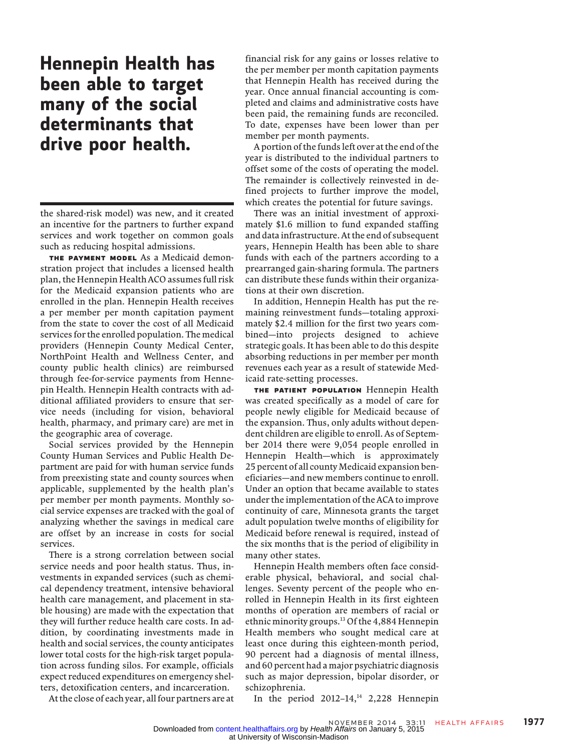# Hennepin Health has been able to target many of the social determinants that drive poor health.

the shared-risk model) was new, and it created an incentive for the partners to further expand services and work together on common goals such as reducing hospital admissions.

THE PAYMENT MODEL As a Medicaid demonstration project that includes a licensed health plan, the Hennepin Health ACO assumes full risk for the Medicaid expansion patients who are enrolled in the plan. Hennepin Health receives a per member per month capitation payment from the state to cover the cost of all Medicaid services for the enrolled population. The medical providers (Hennepin County Medical Center, NorthPoint Health and Wellness Center, and county public health clinics) are reimbursed through fee-for-service payments from Hennepin Health. Hennepin Health contracts with additional affiliated providers to ensure that service needs (including for vision, behavioral health, pharmacy, and primary care) are met in the geographic area of coverage.

Social services provided by the Hennepin County Human Services and Public Health Department are paid for with human service funds from preexisting state and county sources when applicable, supplemented by the health plan's per member per month payments. Monthly social service expenses are tracked with the goal of analyzing whether the savings in medical care are offset by an increase in costs for social services.

There is a strong correlation between social service needs and poor health status. Thus, investments in expanded services (such as chemical dependency treatment, intensive behavioral health care management, and placement in stable housing) are made with the expectation that they will further reduce health care costs. In addition, by coordinating investments made in health and social services, the county anticipates lower total costs for the high-risk target population across funding silos. For example, officials expect reduced expenditures on emergency shelters, detoxification centers, and incarceration.

At the close of each year, all four partners are at

financial risk for any gains or losses relative to the per member per month capitation payments that Hennepin Health has received during the year. Once annual financial accounting is completed and claims and administrative costs have been paid, the remaining funds are reconciled. To date, expenses have been lower than per member per month payments.

A portion of the funds left over at the end of the year is distributed to the individual partners to offset some of the costs of operating the model. The remainder is collectively reinvested in defined projects to further improve the model, which creates the potential for future savings.

There was an initial investment of approximately \$1.6 million to fund expanded staffing and data infrastructure. At the end of subsequent years, Hennepin Health has been able to share funds with each of the partners according to a prearranged gain-sharing formula. The partners can distribute these funds within their organizations at their own discretion.

In addition, Hennepin Health has put the remaining reinvestment funds—totaling approximately \$2.4 million for the first two years combined—into projects designed to achieve strategic goals. It has been able to do this despite absorbing reductions in per member per month revenues each year as a result of statewide Medicaid rate-setting processes.

THE PATIENT POPULATION Hennepin Health was created specifically as a model of care for people newly eligible for Medicaid because of the expansion. Thus, only adults without dependent children are eligible to enroll. As of September 2014 there were 9,054 people enrolled in Hennepin Health—which is approximately 25 percent of all county Medicaid expansion beneficiaries—and new members continue to enroll. Under an option that became available to states under the implementation of the ACA to improve continuity of care, Minnesota grants the target adult population twelve months of eligibility for Medicaid before renewal is required, instead of the six months that is the period of eligibility in many other states.

Hennepin Health members often face considerable physical, behavioral, and social challenges. Seventy percent of the people who enrolled in Hennepin Health in its first eighteen months of operation are members of racial or ethnic minority groups.13 Of the 4,884 Hennepin Health members who sought medical care at least once during this eighteen-month period, 90 percent had a diagnosis of mental illness, and 60 percent had a major psychiatric diagnosis such as major depression, bipolar disorder, or schizophrenia.

In the period  $2012-14$ ,<sup>14</sup> 2,228 Hennepin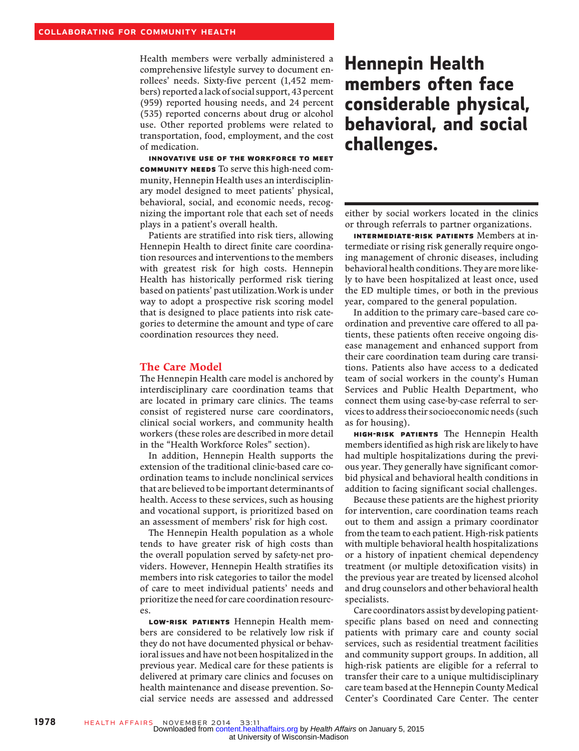Health members were verbally administered a comprehensive lifestyle survey to document enrollees' needs. Sixty-five percent (1,452 members) reported a lack of social support, 43 percent (959) reported housing needs, and 24 percent (535) reported concerns about drug or alcohol use. Other reported problems were related to transportation, food, employment, and the cost of medication.

Innovative Use Of The Workforce To Meet Community Needs To serve this high-need community, Hennepin Health uses an interdisciplinary model designed to meet patients' physical, behavioral, social, and economic needs, recognizing the important role that each set of needs plays in a patient's overall health.

Patients are stratified into risk tiers, allowing Hennepin Health to direct finite care coordination resources and interventions to the members with greatest risk for high costs. Hennepin Health has historically performed risk tiering based on patients' past utilization.Work is under way to adopt a prospective risk scoring model that is designed to place patients into risk categories to determine the amount and type of care coordination resources they need.

## The Care Model

The Hennepin Health care model is anchored by interdisciplinary care coordination teams that are located in primary care clinics. The teams consist of registered nurse care coordinators, clinical social workers, and community health workers (these roles are described in more detail in the "Health Workforce Roles" section).

In addition, Hennepin Health supports the extension of the traditional clinic-based care coordination teams to include nonclinical services that are believed to be important determinants of health. Access to these services, such as housing and vocational support, is prioritized based on an assessment of members' risk for high cost.

The Hennepin Health population as a whole tends to have greater risk of high costs than the overall population served by safety-net providers. However, Hennepin Health stratifies its members into risk categories to tailor the model of care to meet individual patients' needs and prioritize the need for care coordination resources.

LOW-RISK PATIENTS Hennepin Health members are considered to be relatively low risk if they do not have documented physical or behavioral issues and have not been hospitalized in the previous year. Medical care for these patients is delivered at primary care clinics and focuses on health maintenance and disease prevention. Social service needs are assessed and addressed

# Hennepin Health members often face considerable physical, behavioral, and social challenges.

either by social workers located in the clinics or through referrals to partner organizations.

Intermediate-Risk Patients Members at intermediate or rising risk generally require ongoing management of chronic diseases, including behavioral health conditions. They are more likely to have been hospitalized at least once, used the ED multiple times, or both in the previous year, compared to the general population.

In addition to the primary care–based care coordination and preventive care offered to all patients, these patients often receive ongoing disease management and enhanced support from their care coordination team during care transitions. Patients also have access to a dedicated team of social workers in the county's Human Services and Public Health Department, who connect them using case-by-case referral to services to address their socioeconomic needs (such as for housing).

High-Risk Patients The Hennepin Health members identified as high risk are likely to have had multiple hospitalizations during the previous year. They generally have significant comorbid physical and behavioral health conditions in addition to facing significant social challenges.

Because these patients are the highest priority for intervention, care coordination teams reach out to them and assign a primary coordinator from the team to each patient. High-risk patients with multiple behavioral health hospitalizations or a history of inpatient chemical dependency treatment (or multiple detoxification visits) in the previous year are treated by licensed alcohol and drug counselors and other behavioral health specialists.

Care coordinators assist by developing patientspecific plans based on need and connecting patients with primary care and county social services, such as residential treatment facilities and community support groups. In addition, all high-risk patients are eligible for a referral to transfer their care to a unique multidisciplinary care team based at the Hennepin County Medical Center's Coordinated Care Center. The center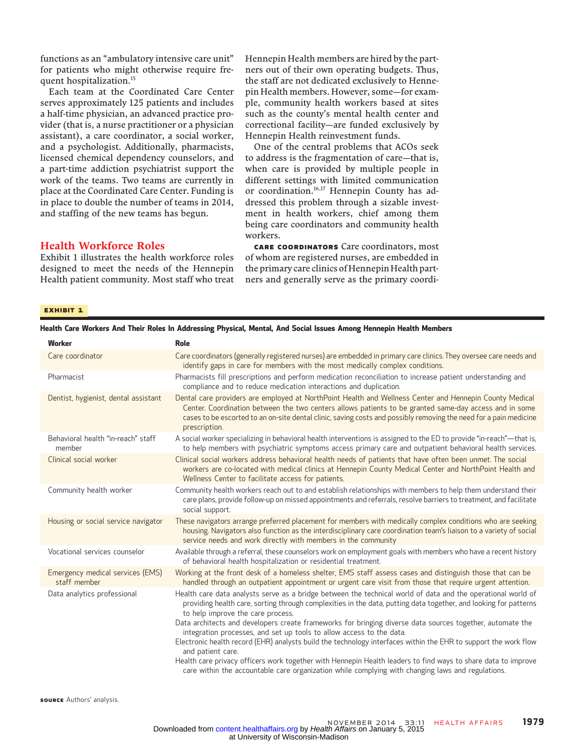functions as an "ambulatory intensive care unit" for patients who might otherwise require frequent hospitalization.<sup>15</sup>

Each team at the Coordinated Care Center serves approximately 125 patients and includes a half-time physician, an advanced practice provider (that is, a nurse practitioner or a physician assistant), a care coordinator, a social worker, and a psychologist. Additionally, pharmacists, licensed chemical dependency counselors, and a part-time addiction psychiatrist support the work of the teams. Two teams are currently in place at the Coordinated Care Center. Funding is in place to double the number of teams in 2014, and staffing of the new teams has begun.

Exhibit 1 illustrates the health workforce roles designed to meet the needs of the Hennepin Health patient community. Most staff who treat Hennepin Health members are hired by the partners out of their own operating budgets. Thus, the staff are not dedicated exclusively to Hennepin Health members. However, some—for example, community health workers based at sites such as the county's mental health center and correctional facility—are funded exclusively by Hennepin Health reinvestment funds.

One of the central problems that ACOs seek to address is the fragmentation of care—that is, when care is provided by multiple people in different settings with limited communication or coordination.<sup>16,17</sup> Hennepin County has addressed this problem through a sizable investment in health workers, chief among them being care coordinators and community health workers.

Care Coordinators Care coordinators, most of whom are registered nurses, are embedded in the primary care clinics of Hennepin Health partners and generally serve as the primary coordi-

# Exhibit 1

Health Workforce Roles

Health Care Workers And Their Roles In Addressing Physical, Mental, And Social Issues Among Hennepin Health Members

| <b>Worker</b>                                    | <b>Role</b>                                                                                                                                                                                                                                                                                                                                             |
|--------------------------------------------------|---------------------------------------------------------------------------------------------------------------------------------------------------------------------------------------------------------------------------------------------------------------------------------------------------------------------------------------------------------|
| Care coordinator                                 | Care coordinators (generally registered nurses) are embedded in primary care clinics. They oversee care needs and<br>identify gaps in care for members with the most medically complex conditions.                                                                                                                                                      |
| Pharmacist                                       | Pharmacists fill prescriptions and perform medication reconciliation to increase patient understanding and<br>compliance and to reduce medication interactions and duplication.                                                                                                                                                                         |
| Dentist, hygienist, dental assistant             | Dental care providers are employed at NorthPoint Health and Wellness Center and Hennepin County Medical<br>Center. Coordination between the two centers allows patients to be granted same-day access and in some<br>cases to be escorted to an on-site dental clinic, saving costs and possibly removing the need for a pain medicine<br>prescription. |
| Behavioral health "in-reach" staff<br>member     | A social worker specializing in behavioral health interventions is assigned to the ED to provide "in-reach"—that is,<br>to help members with psychiatric symptoms access primary care and outpatient behavioral health services.                                                                                                                        |
| Clinical social worker                           | Clinical social workers address behavioral health needs of patients that have often been unmet. The social<br>workers are co-located with medical clinics at Hennepin County Medical Center and NorthPoint Health and<br>Wellness Center to facilitate access for patients.                                                                             |
| Community health worker                          | Community health workers reach out to and establish relationships with members to help them understand their<br>care plans, provide follow-up on missed appointments and referrals, resolve barriers to treatment, and facilitate<br>social support.                                                                                                    |
| Housing or social service navigator              | These navigators arrange preferred placement for members with medically complex conditions who are seeking<br>housing. Navigators also function as the interdisciplinary care coordination team's liaison to a variety of social<br>service needs and work directly with members in the community                                                       |
| Vocational services counselor                    | Available through a referral, these counselors work on employment goals with members who have a recent history<br>of behavioral health hospitalization or residential treatment.                                                                                                                                                                        |
| Emergency medical services (EMS)<br>staff member | Working at the front desk of a homeless shelter, EMS staff assess cases and distinguish those that can be<br>handled through an outpatient appointment or urgent care visit from those that require urgent attention.                                                                                                                                   |
| Data analytics professional                      | Health care data analysts serve as a bridge between the technical world of data and the operational world of<br>providing health care, sorting through complexities in the data, putting data together, and looking for patterns<br>to help improve the care process.                                                                                   |
|                                                  | Data architects and developers create frameworks for bringing diverse data sources together, automate the<br>integration processes, and set up tools to allow access to the data.                                                                                                                                                                       |
|                                                  | Electronic health record (EHR) analysts build the technology interfaces within the EHR to support the work flow<br>and patient care.                                                                                                                                                                                                                    |
|                                                  | Health care privacy officers work together with Hennepin Health leaders to find ways to share data to improve<br>care within the accountable care organization while complying with changing laws and regulations.                                                                                                                                      |

**source** Authors' analysis.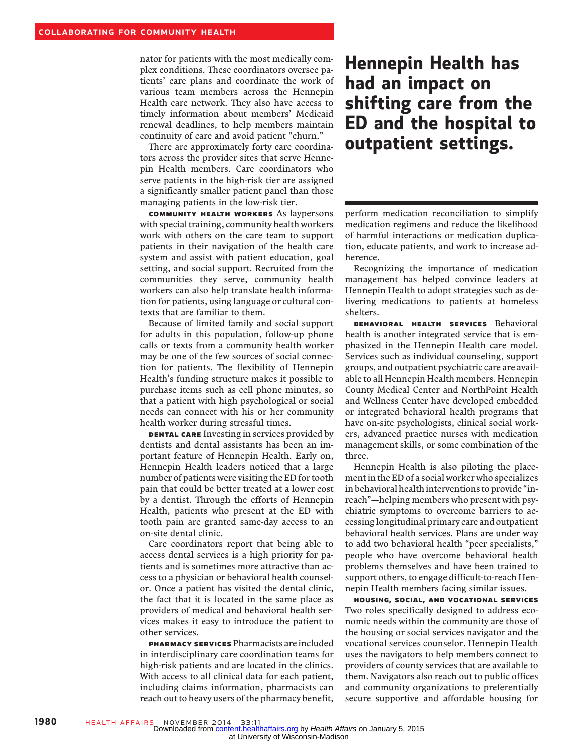nator for patients with the most medically complex conditions. These coordinators oversee patients' care plans and coordinate the work of various team members across the Hennepin Health care network. They also have access to timely information about members' Medicaid renewal deadlines, to help members maintain continuity of care and avoid patient "churn."

There are approximately forty care coordinators across the provider sites that serve Hennepin Health members. Care coordinators who serve patients in the high-risk tier are assigned a significantly smaller patient panel than those managing patients in the low-risk tier.

Community Health Workers As laypersons with special training, community health workers work with others on the care team to support patients in their navigation of the health care system and assist with patient education, goal setting, and social support. Recruited from the communities they serve, community health workers can also help translate health information for patients, using language or cultural contexts that are familiar to them.

Because of limited family and social support for adults in this population, follow-up phone calls or texts from a community health worker may be one of the few sources of social connection for patients. The flexibility of Hennepin Health's funding structure makes it possible to purchase items such as cell phone minutes, so that a patient with high psychological or social needs can connect with his or her community health worker during stressful times.

DENTAL CARE Investing in services provided by dentists and dental assistants has been an important feature of Hennepin Health. Early on, Hennepin Health leaders noticed that a large number of patients were visiting the ED for tooth pain that could be better treated at a lower cost by a dentist. Through the efforts of Hennepin Health, patients who present at the ED with tooth pain are granted same-day access to an on-site dental clinic.

Care coordinators report that being able to access dental services is a high priority for patients and is sometimes more attractive than access to a physician or behavioral health counselor. Once a patient has visited the dental clinic, the fact that it is located in the same place as providers of medical and behavioral health services makes it easy to introduce the patient to other services.

Pharmacy Services Pharmacists are included in interdisciplinary care coordination teams for high-risk patients and are located in the clinics. With access to all clinical data for each patient, including claims information, pharmacists can reach out to heavy users of the pharmacy benefit,

# Hennepin Health has had an impact on shifting care from the ED and the hospital to outpatient settings.

perform medication reconciliation to simplify medication regimens and reduce the likelihood of harmful interactions or medication duplication, educate patients, and work to increase adherence.

Recognizing the importance of medication management has helped convince leaders at Hennepin Health to adopt strategies such as delivering medications to patients at homeless shelters.

BEHAVIORAL HEALTH SERVICES Behavioral health is another integrated service that is emphasized in the Hennepin Health care model. Services such as individual counseling, support groups, and outpatient psychiatric care are available to all Hennepin Health members. Hennepin County Medical Center and NorthPoint Health and Wellness Center have developed embedded or integrated behavioral health programs that have on-site psychologists, clinical social workers, advanced practice nurses with medication management skills, or some combination of the three.

Hennepin Health is also piloting the placement in the ED of a social worker who specializes in behavioral health interventions to provide "inreach"—helping members who present with psychiatric symptoms to overcome barriers to accessing longitudinal primary care and outpatient behavioral health services. Plans are under way to add two behavioral health "peer specialists," people who have overcome behavioral health problems themselves and have been trained to support others, to engage difficult-to-reach Hennepin Health members facing similar issues.

Housing, Social, And Vocational Services Two roles specifically designed to address economic needs within the community are those of the housing or social services navigator and the vocational services counselor. Hennepin Health uses the navigators to help members connect to providers of county services that are available to them. Navigators also reach out to public offices and community organizations to preferentially secure supportive and affordable housing for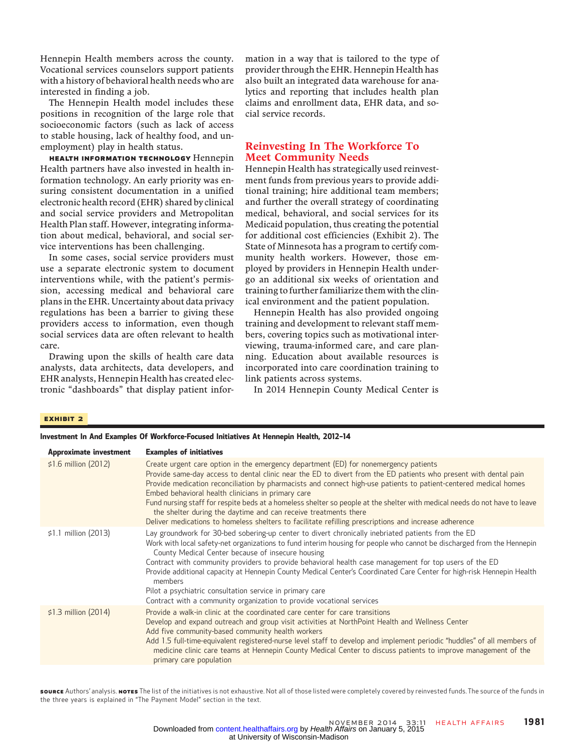Hennepin Health members across the county. Vocational services counselors support patients with a history of behavioral health needs who are interested in finding a job.

The Hennepin Health model includes these positions in recognition of the large role that socioeconomic factors (such as lack of access to stable housing, lack of healthy food, and unemployment) play in health status.

Health Information Technology Hennepin Health partners have also invested in health information technology. An early priority was ensuring consistent documentation in a unified electronic health record (EHR) shared by clinical and social service providers and Metropolitan Health Plan staff. However, integrating information about medical, behavioral, and social service interventions has been challenging.

In some cases, social service providers must use a separate electronic system to document interventions while, with the patient's permission, accessing medical and behavioral care plans in the EHR. Uncertainty about data privacy regulations has been a barrier to giving these providers access to information, even though social services data are often relevant to health care.

Drawing upon the skills of health care data analysts, data architects, data developers, and EHR analysts, Hennepin Health has created electronic "dashboards" that display patient information in a way that is tailored to the type of provider through the EHR. Hennepin Health has also built an integrated data warehouse for analytics and reporting that includes health plan claims and enrollment data, EHR data, and social service records.

## Reinvesting In The Workforce To Meet Community Needs

Hennepin Health has strategically used reinvestment funds from previous years to provide additional training; hire additional team members; and further the overall strategy of coordinating medical, behavioral, and social services for its Medicaid population, thus creating the potential for additional cost efficiencies (Exhibit 2). The State of Minnesota has a program to certify community health workers. However, those employed by providers in Hennepin Health undergo an additional six weeks of orientation and training to further familiarize them with the clinical environment and the patient population.

Hennepin Health has also provided ongoing training and development to relevant staff members, covering topics such as motivational interviewing, trauma-informed care, and care planning. Education about available resources is incorporated into care coordination training to link patients across systems.

In 2014 Hennepin County Medical Center is

#### Exhibit 2

Investment In And Examples Of Workforce-Focused Initiatives At Hennepin Health, 2012–<sup>14</sup>

| Create urgent care option in the emergency department (ED) for nonemergency patients<br>$$1.6$ million (2012)<br>Embed behavioral health clinicians in primary care<br>the shelter during the daytime and can receive treatments there<br>Deliver medications to homeless shelters to facilitate refilling prescriptions and increase adherence<br>Lay groundwork for 30-bed sobering-up center to divert chronically inebriated patients from the ED<br>$$1.1$ million (2013)<br>County Medical Center because of insecure housing<br>Contract with community providers to provide behavioral health case management for top users of the ED<br>members<br>Pilot a psychiatric consultation service in primary care<br>Contract with a community organization to provide vocational services<br>Provide a walk-in clinic at the coordinated care center for care transitions<br>$$1.3$ million (2014) | <b>Approximate investment</b> | <b>Examples of initiatives</b>                                                                                                                                                                                                                                                                                                                                     |
|--------------------------------------------------------------------------------------------------------------------------------------------------------------------------------------------------------------------------------------------------------------------------------------------------------------------------------------------------------------------------------------------------------------------------------------------------------------------------------------------------------------------------------------------------------------------------------------------------------------------------------------------------------------------------------------------------------------------------------------------------------------------------------------------------------------------------------------------------------------------------------------------------------|-------------------------------|--------------------------------------------------------------------------------------------------------------------------------------------------------------------------------------------------------------------------------------------------------------------------------------------------------------------------------------------------------------------|
|                                                                                                                                                                                                                                                                                                                                                                                                                                                                                                                                                                                                                                                                                                                                                                                                                                                                                                        |                               | Provide same-day access to dental clinic near the ED to divert from the ED patients who present with dental pain<br>Provide medication reconciliation by pharmacists and connect high-use patients to patient-centered medical homes<br>Fund nursing staff for respite beds at a homeless shelter so people at the shelter with medical needs do not have to leave |
|                                                                                                                                                                                                                                                                                                                                                                                                                                                                                                                                                                                                                                                                                                                                                                                                                                                                                                        |                               | Work with local safety-net organizations to fund interim housing for people who cannot be discharged from the Hennepin<br>Provide additional capacity at Hennepin County Medical Center's Coordinated Care Center for high-risk Hennepin Health                                                                                                                    |
| Develop and expand outreach and group visit activities at NorthPoint Health and Wellness Center<br>Add five community-based community health workers<br>primary care population                                                                                                                                                                                                                                                                                                                                                                                                                                                                                                                                                                                                                                                                                                                        |                               | Add 1.5 full-time-equivalent registered-nurse level staff to develop and implement periodic "huddles" of all members of<br>medicine clinic care teams at Hennepin County Medical Center to discuss patients to improve management of the                                                                                                                           |

source Authors' analysis. Nores The list of the initiatives is not exhaustive. Not all of those listed were completely covered by reinvested funds. The source of the funds in the three years is explained in "The Payment Model" section in the text.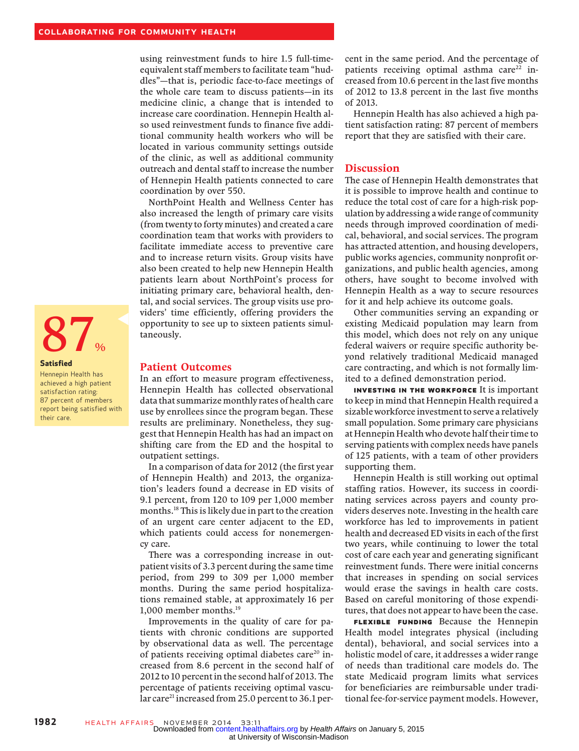using reinvestment funds to hire 1.5 full-timeequivalent staff members to facilitate team "huddles"—that is, periodic face-to-face meetings of the whole care team to discuss patients—in its medicine clinic, a change that is intended to increase care coordination. Hennepin Health also used reinvestment funds to finance five additional community health workers who will be located in various community settings outside of the clinic, as well as additional community outreach and dental staff to increase the number of Hennepin Health patients connected to care coordination by over 550.

NorthPoint Health and Wellness Center has also increased the length of primary care visits (from twenty to forty minutes) and created a care coordination team that works with providers to facilitate immediate access to preventive care and to increase return visits. Group visits have also been created to help new Hennepin Health patients learn about NorthPoint's process for initiating primary care, behavioral health, dental, and social services. The group visits use providers' time efficiently, offering providers the opportunity to see up to sixteen patients simultaneously.

## Patient Outcomes

In an effort to measure program effectiveness, Hennepin Health has collected observational data that summarize monthly rates of health care use by enrollees since the program began. These results are preliminary. Nonetheless, they suggest that Hennepin Health has had an impact on shifting care from the ED and the hospital to outpatient settings.

In a comparison of data for 2012 (the first year of Hennepin Health) and 2013, the organization's leaders found a decrease in ED visits of 9.1 percent, from 120 to 109 per 1,000 member months.<sup>18</sup> This is likely due in part to the creation of an urgent care center adjacent to the ED, which patients could access for nonemergency care.

There was a corresponding increase in outpatient visits of 3.3 percent during the same time period, from 299 to 309 per 1,000 member months. During the same period hospitalizations remained stable, at approximately 16 per 1,000 member months.19

Improvements in the quality of care for patients with chronic conditions are supported by observational data as well. The percentage of patients receiving optimal diabetes care $20$  increased from 8.6 percent in the second half of 2012 to 10 percent in the second half of 2013. The percentage of patients receiving optimal vascular care<sup>21</sup> increased from 25.0 percent to 36.1 percent in the same period. And the percentage of patients receiving optimal asthma  $care<sup>22</sup>$  increased from 10.6 percent in the last five months of 2012 to 13.8 percent in the last five months of 2013.

Hennepin Health has also achieved a high patient satisfaction rating: 87 percent of members report that they are satisfied with their care.

## **Discussion**

The case of Hennepin Health demonstrates that it is possible to improve health and continue to reduce the total cost of care for a high-risk population by addressing a wide range of community needs through improved coordination of medical, behavioral, and social services. The program has attracted attention, and housing developers, public works agencies, community nonprofit organizations, and public health agencies, among others, have sought to become involved with Hennepin Health as a way to secure resources for it and help achieve its outcome goals.

Other communities serving an expanding or existing Medicaid population may learn from this model, which does not rely on any unique federal waivers or require specific authority beyond relatively traditional Medicaid managed care contracting, and which is not formally limited to a defined demonstration period.

Investing In The Workforce It is important to keep in mind that Hennepin Health required a sizable workforce investment to serve a relatively small population. Some primary care physicians at Hennepin Health who devote half their time to serving patients with complex needs have panels of 125 patients, with a team of other providers supporting them.

Hennepin Health is still working out optimal staffing ratios. However, its success in coordinating services across payers and county providers deserves note. Investing in the health care workforce has led to improvements in patient health and decreased ED visits in each of the first two years, while continuing to lower the total cost of care each year and generating significant reinvestment funds. There were initial concerns that increases in spending on social services would erase the savings in health care costs. Based on careful monitoring of those expenditures, that does not appear to have been the case.

Flexible Funding Because the Hennepin Health model integrates physical (including dental), behavioral, and social services into a holistic model of care, it addresses a wider range of needs than traditional care models do. The state Medicaid program limits what services for beneficiaries are reimbursable under traditional fee-for-service payment models. However,

# 87%

**Satisfied** 

Hennepin Health has achieved a high patient satisfaction rating: 87 percent of members report being satisfied with their care.

at University of Wisconsin-Madison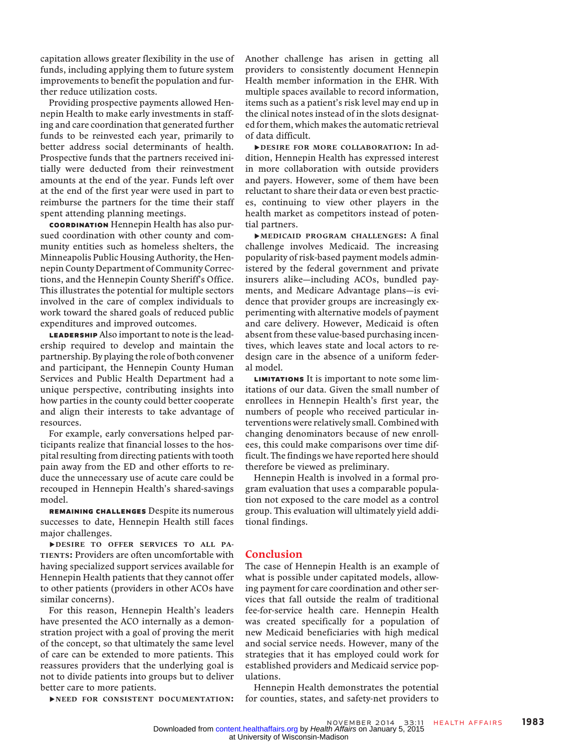capitation allows greater flexibility in the use of funds, including applying them to future system improvements to benefit the population and further reduce utilization costs.

Providing prospective payments allowed Hennepin Health to make early investments in staffing and care coordination that generated further funds to be reinvested each year, primarily to better address social determinants of health. Prospective funds that the partners received initially were deducted from their reinvestment amounts at the end of the year. Funds left over at the end of the first year were used in part to reimburse the partners for the time their staff spent attending planning meetings.

Coordination Hennepin Health has also pursued coordination with other county and community entities such as homeless shelters, the Minneapolis Public Housing Authority, the Hennepin County Department of Community Corrections, and the Hennepin County Sheriff's Office. This illustrates the potential for multiple sectors involved in the care of complex individuals to work toward the shared goals of reduced public expenditures and improved outcomes.

Leadership Also important to note is the leadership required to develop and maintain the partnership. By playing the role of both convener and participant, the Hennepin County Human Services and Public Health Department had a unique perspective, contributing insights into how parties in the county could better cooperate and align their interests to take advantage of resources.

For example, early conversations helped participants realize that financial losses to the hospital resulting from directing patients with tooth pain away from the ED and other efforts to reduce the unnecessary use of acute care could be recouped in Hennepin Health's shared-savings model.

Remaining Challenges Despite its numerous successes to date, Hennepin Health still faces major challenges.

▸DESIRE TO OFFER SERVICES TO ALL PA-TIENTS: Providers are often uncomfortable with having specialized support services available for Hennepin Health patients that they cannot offer to other patients (providers in other ACOs have similar concerns).

For this reason, Hennepin Health's leaders have presented the ACO internally as a demonstration project with a goal of proving the merit of the concept, so that ultimately the same level of care can be extended to more patients. This reassures providers that the underlying goal is not to divide patients into groups but to deliver better care to more patients.

▸NEED FOR CONSISTENT DOCUMENTATION:

Another challenge has arisen in getting all providers to consistently document Hennepin Health member information in the EHR. With multiple spaces available to record information, items such as a patient's risk level may end up in the clinical notes instead of in the slots designated for them, which makes the automatic retrieval of data difficult.

▸DESIRE FOR MORE COLLABORATION: In addition, Hennepin Health has expressed interest in more collaboration with outside providers and payers. However, some of them have been reluctant to share their data or even best practices, continuing to view other players in the health market as competitors instead of potential partners.

▸MEDICAID PROGRAM CHALLENGES: A final challenge involves Medicaid. The increasing popularity of risk-based payment models administered by the federal government and private insurers alike—including ACOs, bundled payments, and Medicare Advantage plans—is evidence that provider groups are increasingly experimenting with alternative models of payment and care delivery. However, Medicaid is often absent from these value-based purchasing incentives, which leaves state and local actors to redesign care in the absence of a uniform federal model.

Limitations It is important to note some limitations of our data. Given the small number of enrollees in Hennepin Health's first year, the numbers of people who received particular interventions were relatively small. Combined with changing denominators because of new enrollees, this could make comparisons over time difficult. The findings we have reported here should therefore be viewed as preliminary.

Hennepin Health is involved in a formal program evaluation that uses a comparable population not exposed to the care model as a control group. This evaluation will ultimately yield additional findings.

## Conclusion

The case of Hennepin Health is an example of what is possible under capitated models, allowing payment for care coordination and other services that fall outside the realm of traditional fee-for-service health care. Hennepin Health was created specifically for a population of new Medicaid beneficiaries with high medical and social service needs. However, many of the strategies that it has employed could work for established providers and Medicaid service populations.

Hennepin Health demonstrates the potential for counties, states, and safety-net providers to

NOVEMBER 2014 33:11 HEALTH AFFAIRS 1983<br>Downloaded from [content.healthaffairs.org](http://content.healthaffairs.org/) by *Health Affairs* on January 5, 2015 at University of Wisconsin-Madison